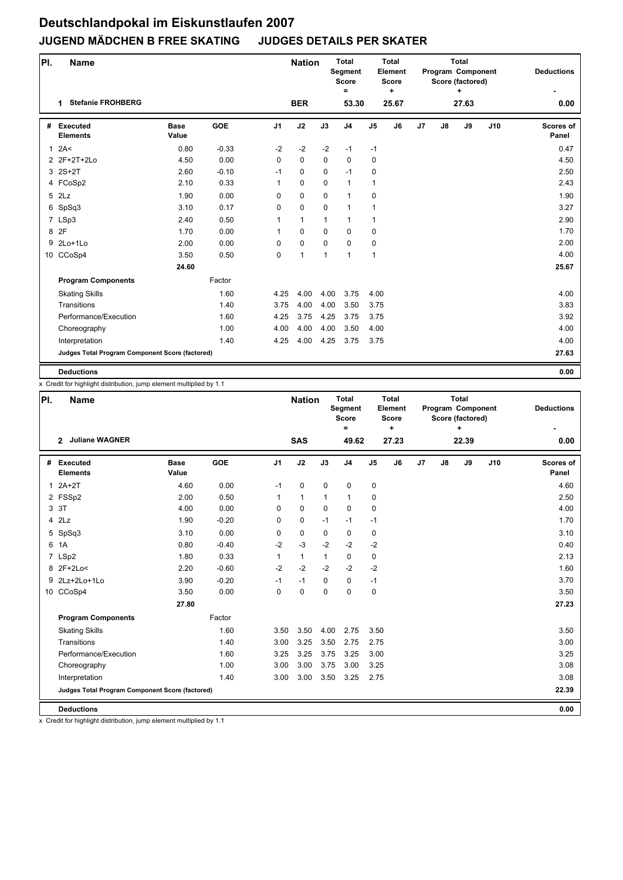| PI. | <b>Name</b>                                     |                      |            |                | <b>Nation</b> |              | <b>Total</b><br>Segment<br><b>Score</b><br>$\equiv$ |                | <b>Total</b><br>Element<br><b>Score</b><br>٠ |    |               | <b>Total</b><br>Program Component<br>Score (factored)<br>٠ |     | <b>Deductions</b>  |
|-----|-------------------------------------------------|----------------------|------------|----------------|---------------|--------------|-----------------------------------------------------|----------------|----------------------------------------------|----|---------------|------------------------------------------------------------|-----|--------------------|
|     | <b>Stefanie FROHBERG</b><br>1                   |                      |            |                | <b>BER</b>    |              | 53.30                                               |                | 25.67                                        |    |               | 27.63                                                      |     | 0.00               |
| #   | <b>Executed</b><br><b>Elements</b>              | <b>Base</b><br>Value | <b>GOE</b> | J <sub>1</sub> | J2            | J3           | J <sub>4</sub>                                      | J <sub>5</sub> | J6                                           | J7 | $\mathsf{J}8$ | J9                                                         | J10 | Scores of<br>Panel |
|     | 12A<                                            | 0.80                 | $-0.33$    | $-2$           | $-2$          | $-2$         | $-1$                                                | $-1$           |                                              |    |               |                                                            |     | 0.47               |
|     | 2 2F+2T+2Lo                                     | 4.50                 | 0.00       | 0              | 0             | $\mathbf 0$  | $\mathbf 0$                                         | 0              |                                              |    |               |                                                            |     | 4.50               |
|     | $3$ $2S+2T$                                     | 2.60                 | $-0.10$    | $-1$           | 0             | $\Omega$     | $-1$                                                | 0              |                                              |    |               |                                                            |     | 2.50               |
|     | 4 FCoSp2                                        | 2.10                 | 0.33       | $\mathbf{1}$   | 0             | $\Omega$     | $\mathbf{1}$                                        | $\mathbf{1}$   |                                              |    |               |                                                            |     | 2.43               |
|     | 5 2Lz                                           | 1.90                 | 0.00       | $\Omega$       | 0             | $\mathbf 0$  | $\mathbf{1}$                                        | 0              |                                              |    |               |                                                            |     | 1.90               |
|     | 6 SpSq3                                         | 3.10                 | 0.17       | 0              | 0             | 0            | $\mathbf{1}$                                        | 1              |                                              |    |               |                                                            |     | 3.27               |
|     | 7 LSp3                                          | 2.40                 | 0.50       | 1              | $\mathbf{1}$  | $\mathbf{1}$ | $\mathbf{1}$                                        | $\mathbf{1}$   |                                              |    |               |                                                            |     | 2.90               |
|     | 8 2F                                            | 1.70                 | 0.00       | $\mathbf{1}$   | 0             | $\mathbf 0$  | $\mathbf 0$                                         | 0              |                                              |    |               |                                                            |     | 1.70               |
| 9   | $2Lo+1Lo$                                       | 2.00                 | 0.00       | 0              | 0             | $\mathbf 0$  | $\mathbf 0$                                         | 0              |                                              |    |               |                                                            |     | 2.00               |
|     | 10 CCoSp4                                       | 3.50                 | 0.50       | 0              | $\mathbf{1}$  | 1            | $\overline{1}$                                      | $\mathbf{1}$   |                                              |    |               |                                                            |     | 4.00               |
|     |                                                 | 24.60                |            |                |               |              |                                                     |                |                                              |    |               |                                                            |     | 25.67              |
|     | <b>Program Components</b>                       |                      | Factor     |                |               |              |                                                     |                |                                              |    |               |                                                            |     |                    |
|     | <b>Skating Skills</b>                           |                      | 1.60       | 4.25           | 4.00          | 4.00         | 3.75                                                | 4.00           |                                              |    |               |                                                            |     | 4.00               |
|     | Transitions                                     |                      | 1.40       | 3.75           | 4.00          | 4.00         | 3.50                                                | 3.75           |                                              |    |               |                                                            |     | 3.83               |
|     | Performance/Execution                           |                      | 1.60       | 4.25           | 3.75          | 4.25         | 3.75                                                | 3.75           |                                              |    |               |                                                            |     | 3.92               |
|     | Choreography                                    |                      | 1.00       | 4.00           | 4.00          | 4.00         | 3.50                                                | 4.00           |                                              |    |               |                                                            |     | 4.00               |
|     | Interpretation                                  |                      | 1.40       | 4.25           | 4.00          | 4.25         | 3.75                                                | 3.75           |                                              |    |               |                                                            |     | 4.00               |
|     | Judges Total Program Component Score (factored) |                      |            |                |               |              |                                                     |                |                                              |    |               |                                                            |     | 27.63              |
|     | <b>Deductions</b>                               |                      |            |                |               |              |                                                     |                |                                              |    |               |                                                            |     | 0.00               |

x Credit for highlight distribution, jump element multiplied by 1.1

| PI.          | <b>Name</b>                                     |                      |            |                | <b>Nation</b> |              | <b>Total</b><br>Segment<br><b>Score</b><br>Ξ |                | <b>Total</b><br>Element<br><b>Score</b><br>÷ |                |    | <b>Total</b><br>Program Component<br>Score (factored)<br>٠ |     | <b>Deductions</b>  |
|--------------|-------------------------------------------------|----------------------|------------|----------------|---------------|--------------|----------------------------------------------|----------------|----------------------------------------------|----------------|----|------------------------------------------------------------|-----|--------------------|
|              | <b>Juliane WAGNER</b><br>$\overline{2}$         |                      |            |                | <b>SAS</b>    |              | 49.62                                        |                | 27.23                                        |                |    | 22.39                                                      |     | 0.00               |
| #            | <b>Executed</b><br><b>Elements</b>              | <b>Base</b><br>Value | <b>GOE</b> | J <sub>1</sub> | J2            | J3           | J <sub>4</sub>                               | J <sub>5</sub> | J6                                           | J <sub>7</sub> | J8 | J9                                                         | J10 | Scores of<br>Panel |
| $\mathbf{1}$ | $2A+2T$                                         | 4.60                 | 0.00       | $-1$           | 0             | 0            | 0                                            | 0              |                                              |                |    |                                                            |     | 4.60               |
|              | 2 FSSp2                                         | 2.00                 | 0.50       | 1              | $\mathbf{1}$  | $\mathbf{1}$ | $\mathbf{1}$                                 | 0              |                                              |                |    |                                                            |     | 2.50               |
|              | 3 3T                                            | 4.00                 | 0.00       | 0              | 0             | $\Omega$     | $\mathbf 0$                                  | 0              |                                              |                |    |                                                            |     | 4.00               |
|              | $4$ $2Lz$                                       | 1.90                 | $-0.20$    | 0              | 0             | $-1$         | $-1$                                         | $-1$           |                                              |                |    |                                                            |     | 1.70               |
| 5            | SpSq3                                           | 3.10                 | 0.00       | 0              | 0             | 0            | $\mathbf 0$                                  | 0              |                                              |                |    |                                                            |     | 3.10               |
| 6            | 1A                                              | 0.80                 | $-0.40$    | $-2$           | $-3$          | $-2$         | $-2$                                         | $-2$           |                                              |                |    |                                                            |     | 0.40               |
|              | 7 LSp2                                          | 1.80                 | 0.33       | $\mathbf{1}$   | $\mathbf{1}$  | $\mathbf{1}$ | $\mathbf 0$                                  | 0              |                                              |                |    |                                                            |     | 2.13               |
|              | 8 2F+2Lo<                                       | 2.20                 | $-0.60$    | $-2$           | $-2$          | $-2$         | $-2$                                         | $-2$           |                                              |                |    |                                                            |     | 1.60               |
| 9            | 2Lz+2Lo+1Lo                                     | 3.90                 | $-0.20$    | $-1$           | $-1$          | $\mathbf 0$  | $\mathbf 0$                                  | $-1$           |                                              |                |    |                                                            |     | 3.70               |
|              | 10 CCoSp4                                       | 3.50                 | 0.00       | $\mathbf 0$    | 0             | 0            | $\mathbf 0$                                  | $\mathbf 0$    |                                              |                |    |                                                            |     | 3.50               |
|              |                                                 | 27.80                |            |                |               |              |                                              |                |                                              |                |    |                                                            |     | 27.23              |
|              | <b>Program Components</b>                       |                      | Factor     |                |               |              |                                              |                |                                              |                |    |                                                            |     |                    |
|              | <b>Skating Skills</b>                           |                      | 1.60       | 3.50           | 3.50          | 4.00         | 2.75                                         | 3.50           |                                              |                |    |                                                            |     | 3.50               |
|              | Transitions                                     |                      | 1.40       | 3.00           | 3.25          | 3.50         | 2.75                                         | 2.75           |                                              |                |    |                                                            |     | 3.00               |
|              | Performance/Execution                           |                      | 1.60       | 3.25           | 3.25          | 3.75         | 3.25                                         | 3.00           |                                              |                |    |                                                            |     | 3.25               |
|              | Choreography                                    |                      | 1.00       | 3.00           | 3.00          | 3.75         | 3.00                                         | 3.25           |                                              |                |    |                                                            |     | 3.08               |
|              | Interpretation                                  |                      | 1.40       | 3.00           | 3.00          | 3.50         | 3.25                                         | 2.75           |                                              |                |    |                                                            |     | 3.08               |
|              | Judges Total Program Component Score (factored) |                      |            |                |               |              |                                              |                |                                              |                |    |                                                            |     | 22.39              |
|              | <b>Deductions</b>                               |                      |            |                |               |              |                                              |                |                                              |                |    |                                                            |     | 0.00               |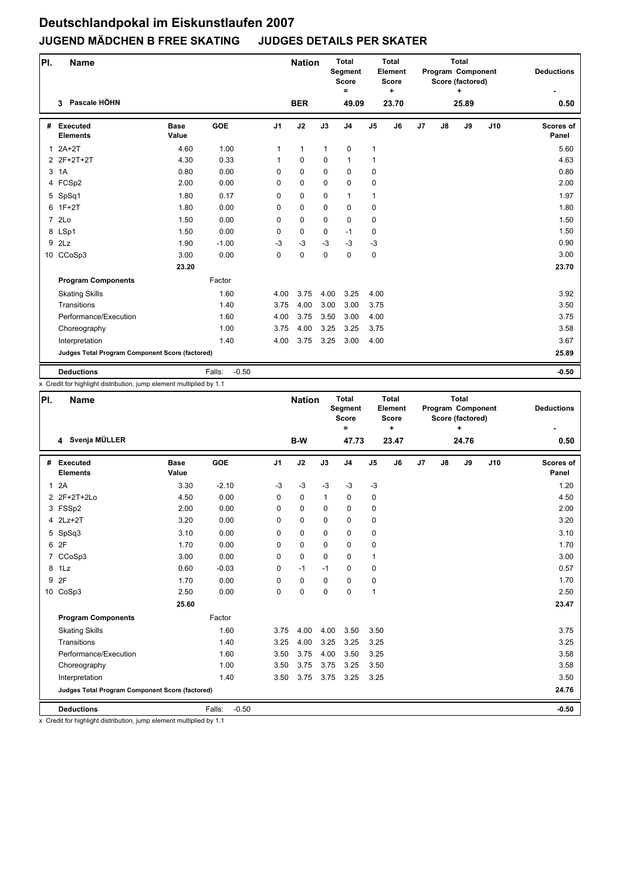| PI.            | <b>Name</b>                                     |                      |                   |                | <b>Nation</b> |              | <b>Total</b><br>Segment<br><b>Score</b><br>$\equiv$ |                | <b>Total</b><br>Element<br><b>Score</b><br>٠ |    |               | <b>Total</b><br>Program Component<br>Score (factored)<br>÷ |     | <b>Deductions</b>         |
|----------------|-------------------------------------------------|----------------------|-------------------|----------------|---------------|--------------|-----------------------------------------------------|----------------|----------------------------------------------|----|---------------|------------------------------------------------------------|-----|---------------------------|
|                | Pascale HÖHN<br>3                               |                      |                   |                | <b>BER</b>    |              | 49.09                                               |                | 23.70                                        |    |               | 25.89                                                      |     | 0.50                      |
| #              | <b>Executed</b><br><b>Elements</b>              | <b>Base</b><br>Value | <b>GOE</b>        | J <sub>1</sub> | J2            | J3           | J <sub>4</sub>                                      | J <sub>5</sub> | J6                                           | J7 | $\mathsf{J}8$ | J9                                                         | J10 | <b>Scores of</b><br>Panel |
|                | $12A+2T$                                        | 4.60                 | 1.00              | 1              | $\mathbf{1}$  | $\mathbf{1}$ | $\mathbf 0$                                         | 1              |                                              |    |               |                                                            |     | 5.60                      |
|                | 2 2F+2T+2T                                      | 4.30                 | 0.33              | 1              | $\Omega$      | $\Omega$     | $\mathbf{1}$                                        | 1              |                                              |    |               |                                                            |     | 4.63                      |
| 3              | 1A                                              | 0.80                 | 0.00              | 0              | $\Omega$      | $\Omega$     | $\mathbf 0$                                         | 0              |                                              |    |               |                                                            |     | 0.80                      |
|                | 4 FCSp2                                         | 2.00                 | 0.00              | $\Omega$       | $\Omega$      | $\Omega$     | $\mathbf 0$                                         | 0              |                                              |    |               |                                                            |     | 2.00                      |
|                | 5 SpSq1                                         | 1.80                 | 0.17              | 0              | 0             | $\Omega$     | $\mathbf{1}$                                        | $\mathbf{1}$   |                                              |    |               |                                                            |     | 1.97                      |
| 6              | $1F+2T$                                         | 1.80                 | 0.00              | 0              | 0             | $\Omega$     | $\Omega$                                            | 0              |                                              |    |               |                                                            |     | 1.80                      |
| $\overline{7}$ | 2Lo                                             | 1.50                 | 0.00              | 0              | 0             | $\Omega$     | $\mathbf 0$                                         | 0              |                                              |    |               |                                                            |     | 1.50                      |
|                | 8 LSp1                                          | 1.50                 | 0.00              | $\Omega$       | $\Omega$      | $\Omega$     | $-1$                                                | 0              |                                              |    |               |                                                            |     | 1.50                      |
| 9              | 2Lz                                             | 1.90                 | $-1.00$           | -3             | $-3$          | $-3$         | $-3$                                                | $-3$           |                                              |    |               |                                                            |     | 0.90                      |
|                | 10 CCoSp3                                       | 3.00                 | 0.00              | 0              | 0             | 0            | $\mathbf 0$                                         | 0              |                                              |    |               |                                                            |     | 3.00                      |
|                |                                                 | 23.20                |                   |                |               |              |                                                     |                |                                              |    |               |                                                            |     | 23.70                     |
|                | <b>Program Components</b>                       |                      | Factor            |                |               |              |                                                     |                |                                              |    |               |                                                            |     |                           |
|                | <b>Skating Skills</b>                           |                      | 1.60              | 4.00           | 3.75          | 4.00         | 3.25                                                | 4.00           |                                              |    |               |                                                            |     | 3.92                      |
|                | Transitions                                     |                      | 1.40              | 3.75           | 4.00          | 3.00         | 3.00                                                | 3.75           |                                              |    |               |                                                            |     | 3.50                      |
|                | Performance/Execution                           |                      | 1.60              | 4.00           | 3.75          | 3.50         | 3.00                                                | 4.00           |                                              |    |               |                                                            |     | 3.75                      |
|                | Choreography                                    |                      | 1.00              | 3.75           | 4.00          | 3.25         | 3.25                                                | 3.75           |                                              |    |               |                                                            |     | 3.58                      |
|                | Interpretation                                  |                      | 1.40              | 4.00           | 3.75          | 3.25         | 3.00                                                | 4.00           |                                              |    |               |                                                            |     | 3.67                      |
|                | Judges Total Program Component Score (factored) |                      |                   |                |               |              |                                                     |                |                                              |    |               |                                                            |     | 25.89                     |
|                | <b>Deductions</b>                               |                      | $-0.50$<br>Falls: |                |               |              |                                                     |                |                                              |    |               |                                                            |     | $-0.50$                   |

x Credit for highlight distribution, jump element multiplied by 1.1

| PI.            | Name                                            |                      |                   |                | <b>Nation</b> |              | <b>Total</b><br>Segment<br><b>Score</b><br>$\equiv$ |                | <b>Total</b><br>Element<br><b>Score</b><br>$\ddot{}$ |    |    | <b>Total</b><br>Program Component<br>Score (factored)<br>÷ |     | <b>Deductions</b>         |
|----------------|-------------------------------------------------|----------------------|-------------------|----------------|---------------|--------------|-----------------------------------------------------|----------------|------------------------------------------------------|----|----|------------------------------------------------------------|-----|---------------------------|
|                | 4 Svenja MÜLLER                                 |                      |                   |                | B-W           |              | 47.73                                               |                | 23.47                                                |    |    | 24.76                                                      |     | 0.50                      |
| #              | <b>Executed</b><br><b>Elements</b>              | <b>Base</b><br>Value | <b>GOE</b>        | J <sub>1</sub> | J2            | J3           | J <sub>4</sub>                                      | J <sub>5</sub> | J <sub>6</sub>                                       | J7 | J8 | J9                                                         | J10 | <b>Scores of</b><br>Panel |
| $\mathbf{1}$   | 2A                                              | 3.30                 | $-2.10$           | $-3$           | $-3$          | $-3$         | $-3$                                                | $-3$           |                                                      |    |    |                                                            |     | 1.20                      |
|                | 2 2F+2T+2Lo                                     | 4.50                 | 0.00              | $\Omega$       | 0             | $\mathbf{1}$ | $\mathbf 0$                                         | 0              |                                                      |    |    |                                                            |     | 4.50                      |
|                | 3 FSSp2                                         | 2.00                 | 0.00              | 0              | $\Omega$      | $\Omega$     | $\Omega$                                            | 0              |                                                      |    |    |                                                            |     | 2.00                      |
|                | 4 2Lz+2T                                        | 3.20                 | 0.00              | 0              | 0             | 0            | $\mathbf 0$                                         | 0              |                                                      |    |    |                                                            |     | 3.20                      |
|                | 5 SpSq3                                         | 3.10                 | 0.00              | $\Omega$       | 0             | $\Omega$     | $\mathbf 0$                                         | 0              |                                                      |    |    |                                                            |     | 3.10                      |
| 6              | 2F                                              | 1.70                 | 0.00              | 0              | 0             | $\Omega$     | $\mathbf 0$                                         | 0              |                                                      |    |    |                                                            |     | 1.70                      |
| $\overline{7}$ | CCoSp3                                          | 3.00                 | 0.00              | 0              | 0             | $\Omega$     | $\Omega$                                            | $\mathbf{1}$   |                                                      |    |    |                                                            |     | 3.00                      |
| 8              | 1Lz                                             | 0.60                 | $-0.03$           | $\Omega$       | $-1$          | $-1$         | $\Omega$                                            | 0              |                                                      |    |    |                                                            |     | 0.57                      |
| 9              | 2F                                              | 1.70                 | 0.00              | 0              | 0             | $\Omega$     | $\mathbf 0$                                         | 0              |                                                      |    |    |                                                            |     | 1.70                      |
|                | 10 CoSp3                                        | 2.50                 | 0.00              | 0              | 0             | $\Omega$     | $\Omega$                                            | 1              |                                                      |    |    |                                                            |     | 2.50                      |
|                |                                                 | 25.60                |                   |                |               |              |                                                     |                |                                                      |    |    |                                                            |     | 23.47                     |
|                | <b>Program Components</b>                       |                      | Factor            |                |               |              |                                                     |                |                                                      |    |    |                                                            |     |                           |
|                | <b>Skating Skills</b>                           |                      | 1.60              | 3.75           | 4.00          | 4.00         | 3.50                                                | 3.50           |                                                      |    |    |                                                            |     | 3.75                      |
|                | Transitions                                     |                      | 1.40              | 3.25           | 4.00          | 3.25         | 3.25                                                | 3.25           |                                                      |    |    |                                                            |     | 3.25                      |
|                | Performance/Execution                           |                      | 1.60              | 3.50           | 3.75          | 4.00         | 3.50                                                | 3.25           |                                                      |    |    |                                                            |     | 3.58                      |
|                | Choreography                                    |                      | 1.00              | 3.50           | 3.75          | 3.75         | 3.25                                                | 3.50           |                                                      |    |    |                                                            |     | 3.58                      |
|                | Interpretation                                  |                      | 1.40              | 3.50           | 3.75          | 3.75         | 3.25                                                | 3.25           |                                                      |    |    |                                                            |     | 3.50                      |
|                | Judges Total Program Component Score (factored) |                      |                   |                |               |              |                                                     |                |                                                      |    |    |                                                            |     | 24.76                     |
|                | <b>Deductions</b>                               |                      | $-0.50$<br>Falls: |                |               |              |                                                     |                |                                                      |    |    |                                                            |     | $-0.50$                   |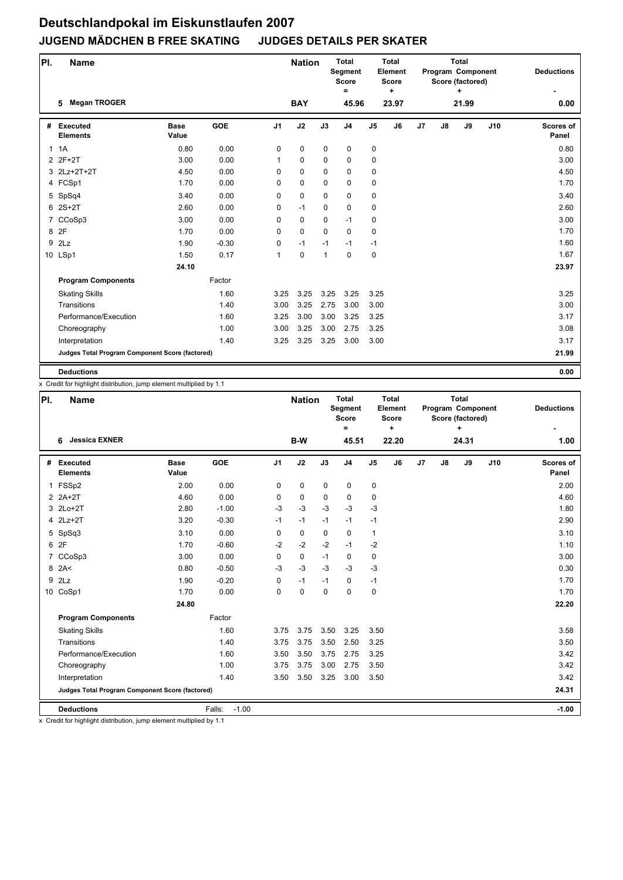| PI. | <b>Name</b>                                     |                      |            |                | <b>Nation</b> |              | <b>Total</b><br>Segment<br><b>Score</b><br>$\equiv$ |                | Total<br>Element<br><b>Score</b><br>$\ddot{}$ |    |               | <b>Total</b><br>Program Component<br>Score (factored)<br>÷ |     | <b>Deductions</b>         |
|-----|-------------------------------------------------|----------------------|------------|----------------|---------------|--------------|-----------------------------------------------------|----------------|-----------------------------------------------|----|---------------|------------------------------------------------------------|-----|---------------------------|
|     | <b>Megan TROGER</b><br>5                        |                      |            |                | <b>BAY</b>    |              | 45.96                                               |                | 23.97                                         |    |               | 21.99                                                      |     | 0.00                      |
| #   | Executed<br><b>Elements</b>                     | <b>Base</b><br>Value | <b>GOE</b> | J <sub>1</sub> | J2            | J3           | J <sub>4</sub>                                      | J <sub>5</sub> | J6                                            | J7 | $\mathsf{J}8$ | J9                                                         | J10 | <b>Scores of</b><br>Panel |
|     | 1.1A                                            | 0.80                 | 0.00       | 0              | 0             | $\pmb{0}$    | $\mathbf 0$                                         | 0              |                                               |    |               |                                                            |     | 0.80                      |
|     | 2 2F+2T                                         | 3.00                 | 0.00       | 1              | 0             | $\mathbf 0$  | 0                                                   | 0              |                                               |    |               |                                                            |     | 3.00                      |
|     | 3 2Lz+2T+2T                                     | 4.50                 | 0.00       | 0              | 0             | $\Omega$     | $\mathbf 0$                                         | 0              |                                               |    |               |                                                            |     | 4.50                      |
|     | 4 FCSp1                                         | 1.70                 | 0.00       | 0              | 0             | 0            | $\mathbf 0$                                         | 0              |                                               |    |               |                                                            |     | 1.70                      |
|     | 5 SpSq4                                         | 3.40                 | 0.00       | 0              | 0             | $\Omega$     | $\mathbf 0$                                         | 0              |                                               |    |               |                                                            |     | 3.40                      |
|     | $62S+2T$                                        | 2.60                 | 0.00       | 0              | $-1$          | 0            | $\mathbf 0$                                         | 0              |                                               |    |               |                                                            |     | 2.60                      |
|     | 7 CCoSp3                                        | 3.00                 | 0.00       | 0              | 0             | 0            | $-1$                                                | 0              |                                               |    |               |                                                            |     | 3.00                      |
|     | 8 2F                                            | 1.70                 | 0.00       | 0              | 0             | $\Omega$     | $\mathbf 0$                                         | 0              |                                               |    |               |                                                            |     | 1.70                      |
| 9   | 2Lz                                             | 1.90                 | $-0.30$    | 0              | $-1$          | $-1$         | $-1$                                                | $-1$           |                                               |    |               |                                                            |     | 1.60                      |
|     | 10 LSp1                                         | 1.50                 | 0.17       | $\mathbf{1}$   | 0             | $\mathbf{1}$ | $\mathbf 0$                                         | 0              |                                               |    |               |                                                            |     | 1.67                      |
|     |                                                 | 24.10                |            |                |               |              |                                                     |                |                                               |    |               |                                                            |     | 23.97                     |
|     | <b>Program Components</b>                       |                      | Factor     |                |               |              |                                                     |                |                                               |    |               |                                                            |     |                           |
|     | <b>Skating Skills</b>                           |                      | 1.60       | 3.25           | 3.25          | 3.25         | 3.25                                                | 3.25           |                                               |    |               |                                                            |     | 3.25                      |
|     | Transitions                                     |                      | 1.40       | 3.00           | 3.25          | 2.75         | 3.00                                                | 3.00           |                                               |    |               |                                                            |     | 3.00                      |
|     | Performance/Execution                           |                      | 1.60       | 3.25           | 3.00          | 3.00         | 3.25                                                | 3.25           |                                               |    |               |                                                            |     | 3.17                      |
|     | Choreography                                    |                      | 1.00       | 3.00           | 3.25          | 3.00         | 2.75                                                | 3.25           |                                               |    |               |                                                            |     | 3.08                      |
|     | Interpretation                                  |                      | 1.40       | 3.25           | 3.25          | 3.25         | 3.00                                                | 3.00           |                                               |    |               |                                                            |     | 3.17                      |
|     | Judges Total Program Component Score (factored) |                      |            |                |               |              |                                                     |                |                                               |    |               |                                                            |     | 21.99                     |
|     | <b>Deductions</b>                               |                      |            |                |               |              |                                                     |                |                                               |    |               |                                                            |     | 0.00                      |

x Credit for highlight distribution, jump element multiplied by 1.1

| PI. | <b>Name</b>                                     |                      |                   |                | <b>Nation</b> |             | <b>Total</b><br>Segment<br><b>Score</b><br>$\equiv$ |                | Total<br>Element<br><b>Score</b><br>÷ |                |    | <b>Total</b><br>Program Component<br>Score (factored)<br>$\ddot{}$ |     | <b>Deductions</b>         |
|-----|-------------------------------------------------|----------------------|-------------------|----------------|---------------|-------------|-----------------------------------------------------|----------------|---------------------------------------|----------------|----|--------------------------------------------------------------------|-----|---------------------------|
|     | <b>Jessica EXNER</b><br>6                       |                      |                   |                | B-W           |             | 45.51                                               |                | 22.20                                 |                |    | 24.31                                                              |     | 1.00                      |
| #   | Executed<br><b>Elements</b>                     | <b>Base</b><br>Value | <b>GOE</b>        | J <sub>1</sub> | J2            | J3          | J <sub>4</sub>                                      | J <sub>5</sub> | J6                                    | J <sub>7</sub> | J8 | J9                                                                 | J10 | <b>Scores of</b><br>Panel |
|     | 1 FSSp2                                         | 2.00                 | 0.00              | 0              | 0             | $\mathbf 0$ | 0                                                   | 0              |                                       |                |    |                                                                    |     | 2.00                      |
|     | $2$ $2A+2T$                                     | 4.60                 | 0.00              | $\mathbf 0$    | $\mathbf 0$   | $\mathbf 0$ | $\mathbf 0$                                         | 0              |                                       |                |    |                                                                    |     | 4.60                      |
|     | 3 2Lo+2T                                        | 2.80                 | $-1.00$           | $-3$           | $-3$          | $-3$        | $-3$                                                | $-3$           |                                       |                |    |                                                                    |     | 1.80                      |
|     | 4 2Lz+2T                                        | 3.20                 | $-0.30$           | $-1$           | $-1$          | $-1$        | $-1$                                                | $-1$           |                                       |                |    |                                                                    |     | 2.90                      |
|     | 5 SpSq3                                         | 3.10                 | 0.00              | $\Omega$       | $\mathbf 0$   | $\Omega$    | $\mathbf 0$                                         | $\mathbf{1}$   |                                       |                |    |                                                                    |     | 3.10                      |
|     | 6 2F                                            | 1.70                 | $-0.60$           | $-2$           | $-2$          | $-2$        | $-1$                                                | $-2$           |                                       |                |    |                                                                    |     | 1.10                      |
| 7   | CCoSp3                                          | 3.00                 | 0.00              | $\Omega$       | 0             | $-1$        | $\mathbf 0$                                         | 0              |                                       |                |    |                                                                    |     | 3.00                      |
|     | $8$ 2A<                                         | 0.80                 | $-0.50$           | $-3$           | $-3$          | $-3$        | $-3$                                                | $-3$           |                                       |                |    |                                                                    |     | 0.30                      |
| 9   | 2Lz                                             | 1.90                 | $-0.20$           | 0              | $-1$          | $-1$        | 0                                                   | $-1$           |                                       |                |    |                                                                    |     | 1.70                      |
|     | 10 CoSp1                                        | 1.70                 | 0.00              | $\Omega$       | $\mathbf 0$   | $\mathbf 0$ | $\mathbf 0$                                         | 0              |                                       |                |    |                                                                    |     | 1.70                      |
|     |                                                 | 24.80                |                   |                |               |             |                                                     |                |                                       |                |    |                                                                    |     | 22.20                     |
|     | <b>Program Components</b>                       |                      | Factor            |                |               |             |                                                     |                |                                       |                |    |                                                                    |     |                           |
|     | <b>Skating Skills</b>                           |                      | 1.60              | 3.75           | 3.75          | 3.50        | 3.25                                                | 3.50           |                                       |                |    |                                                                    |     | 3.58                      |
|     | Transitions                                     |                      | 1.40              | 3.75           | 3.75          | 3.50        | 2.50                                                | 3.25           |                                       |                |    |                                                                    |     | 3.50                      |
|     | Performance/Execution                           |                      | 1.60              | 3.50           | 3.50          | 3.75        | 2.75                                                | 3.25           |                                       |                |    |                                                                    |     | 3.42                      |
|     | Choreography                                    |                      | 1.00              | 3.75           | 3.75          | 3.00        | 2.75                                                | 3.50           |                                       |                |    |                                                                    |     | 3.42                      |
|     | Interpretation                                  |                      | 1.40              | 3.50           | 3.50          | 3.25        | 3.00                                                | 3.50           |                                       |                |    |                                                                    |     | 3.42                      |
|     | Judges Total Program Component Score (factored) |                      |                   |                |               |             |                                                     |                |                                       |                |    |                                                                    |     | 24.31                     |
|     | <b>Deductions</b>                               |                      | Falls:<br>$-1.00$ |                |               |             |                                                     |                |                                       |                |    |                                                                    |     | $-1.00$                   |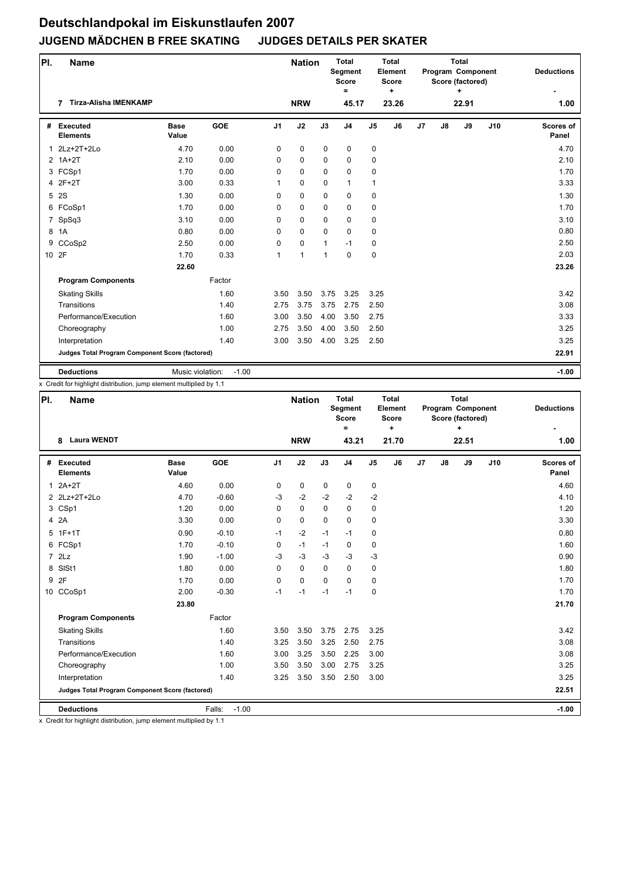| PI.   | <b>Name</b>                                     |                      |            |                | <b>Nation</b> |             | <b>Total</b><br>Segment<br><b>Score</b><br>$\equiv$ |                | <b>Total</b><br>Element<br><b>Score</b><br>$\ddot{}$ |    |               | <b>Total</b><br>Program Component<br>Score (factored)<br>÷ |     | <b>Deductions</b>         |
|-------|-------------------------------------------------|----------------------|------------|----------------|---------------|-------------|-----------------------------------------------------|----------------|------------------------------------------------------|----|---------------|------------------------------------------------------------|-----|---------------------------|
|       | <b>Tirza-Alisha IMENKAMP</b><br>7               |                      |            |                | <b>NRW</b>    |             | 45.17                                               |                | 23.26                                                |    |               | 22.91                                                      |     | 1.00                      |
| #     | <b>Executed</b><br><b>Elements</b>              | <b>Base</b><br>Value | <b>GOE</b> | J <sub>1</sub> | J2            | J3          | J <sub>4</sub>                                      | J <sub>5</sub> | J6                                                   | J7 | $\mathsf{J}8$ | J9                                                         | J10 | <b>Scores of</b><br>Panel |
| 1     | 2Lz+2T+2Lo                                      | 4.70                 | 0.00       | 0              | 0             | $\mathbf 0$ | $\mathbf 0$                                         | 0              |                                                      |    |               |                                                            |     | 4.70                      |
|       | $2$ 1A+2T                                       | 2.10                 | 0.00       | 0              | $\Omega$      | $\Omega$    | $\mathbf 0$                                         | 0              |                                                      |    |               |                                                            |     | 2.10                      |
|       | 3 FCSp1                                         | 1.70                 | 0.00       | $\Omega$       | 0             | $\mathbf 0$ | $\mathbf 0$                                         | 0              |                                                      |    |               |                                                            |     | 1.70                      |
|       | 4 2F+2T                                         | 3.00                 | 0.33       | 1              | $\Omega$      | $\Omega$    | $\mathbf{1}$                                        | $\mathbf{1}$   |                                                      |    |               |                                                            |     | 3.33                      |
| 5     | 2S                                              | 1.30                 | 0.00       | 0              | $\Omega$      | $\Omega$    | $\Omega$                                            | 0              |                                                      |    |               |                                                            |     | 1.30                      |
|       | 6 FCoSp1                                        | 1.70                 | 0.00       | 0              | $\Omega$      | $\Omega$    | $\Omega$                                            | 0              |                                                      |    |               |                                                            |     | 1.70                      |
| 7     | SpSq3                                           | 3.10                 | 0.00       | 0              | $\Omega$      | $\Omega$    | $\mathbf 0$                                         | 0              |                                                      |    |               |                                                            |     | 3.10                      |
| 8     | 1A                                              | 0.80                 | 0.00       | $\Omega$       | $\Omega$      | $\Omega$    | $\Omega$                                            | 0              |                                                      |    |               |                                                            |     | 0.80                      |
| 9     | CCoSp2                                          | 2.50                 | 0.00       | 0              | 0             | 1           | $-1$                                                | 0              |                                                      |    |               |                                                            |     | 2.50                      |
| 10 2F |                                                 | 1.70                 | 0.33       | $\mathbf{1}$   | 1             | 1           | $\mathbf 0$                                         | 0              |                                                      |    |               |                                                            |     | 2.03                      |
|       |                                                 | 22.60                |            |                |               |             |                                                     |                |                                                      |    |               |                                                            |     | 23.26                     |
|       | <b>Program Components</b>                       |                      | Factor     |                |               |             |                                                     |                |                                                      |    |               |                                                            |     |                           |
|       | <b>Skating Skills</b>                           |                      | 1.60       | 3.50           | 3.50          | 3.75        | 3.25                                                | 3.25           |                                                      |    |               |                                                            |     | 3.42                      |
|       | Transitions                                     |                      | 1.40       | 2.75           | 3.75          | 3.75        | 2.75                                                | 2.50           |                                                      |    |               |                                                            |     | 3.08                      |
|       | Performance/Execution                           |                      | 1.60       | 3.00           | 3.50          | 4.00        | 3.50                                                | 2.75           |                                                      |    |               |                                                            |     | 3.33                      |
|       | Choreography                                    |                      | 1.00       | 2.75           | 3.50          | 4.00        | 3.50                                                | 2.50           |                                                      |    |               |                                                            |     | 3.25                      |
|       | Interpretation                                  |                      | 1.40       | 3.00           | 3.50          | 4.00        | 3.25                                                | 2.50           |                                                      |    |               |                                                            |     | 3.25                      |
|       | Judges Total Program Component Score (factored) |                      |            |                |               |             |                                                     |                |                                                      |    |               |                                                            |     | 22.91                     |
|       | <b>Deductions</b>                               | Music violation:     | $-1.00$    |                |               |             |                                                     |                |                                                      |    |               |                                                            |     | $-1.00$                   |

x Credit for highlight distribution, jump element multiplied by 1.1

| PI. | <b>Name</b>                                     |                      |                   |                | <b>Nation</b> |             | <b>Total</b><br>Segment<br><b>Score</b><br>$=$ |                | Total<br>Element<br><b>Score</b><br>÷ |                |    | <b>Total</b><br>Program Component<br>Score (factored)<br>÷ |     | <b>Deductions</b>         |
|-----|-------------------------------------------------|----------------------|-------------------|----------------|---------------|-------------|------------------------------------------------|----------------|---------------------------------------|----------------|----|------------------------------------------------------------|-----|---------------------------|
|     | <b>Laura WENDT</b><br>8                         |                      |                   |                | <b>NRW</b>    |             | 43.21                                          |                | 21.70                                 |                |    | 22.51                                                      |     | 1.00                      |
| #   | <b>Executed</b><br><b>Elements</b>              | <b>Base</b><br>Value | GOE               | J <sub>1</sub> | J2            | J3          | J <sub>4</sub>                                 | J <sub>5</sub> | J6                                    | J <sub>7</sub> | J8 | J9                                                         | J10 | <b>Scores of</b><br>Panel |
| 1   | $2A+2T$                                         | 4.60                 | 0.00              | 0              | 0             | 0           | 0                                              | 0              |                                       |                |    |                                                            |     | 4.60                      |
|     | 2 2Lz+2T+2Lo                                    | 4.70                 | $-0.60$           | $-3$           | $-2$          | $-2$        | $-2$                                           | $-2$           |                                       |                |    |                                                            |     | 4.10                      |
|     | 3 CSp1                                          | 1.20                 | 0.00              | $\Omega$       | $\mathbf 0$   | $\Omega$    | $\mathbf 0$                                    | 0              |                                       |                |    |                                                            |     | 1.20                      |
|     | 4 2A                                            | 3.30                 | 0.00              | 0              | $\pmb{0}$     | $\mathbf 0$ | 0                                              | 0              |                                       |                |    |                                                            |     | 3.30                      |
|     | $5$ 1F+1T                                       | 0.90                 | $-0.10$           | $-1$           | $-2$          | $-1$        | $-1$                                           | 0              |                                       |                |    |                                                            |     | 0.80                      |
|     | 6 FCSp1                                         | 1.70                 | $-0.10$           | 0              | $-1$          | $-1$        | 0                                              | 0              |                                       |                |    |                                                            |     | 1.60                      |
|     | 72Lz                                            | 1.90                 | $-1.00$           | $-3$           | $-3$          | $-3$        | $-3$                                           | $-3$           |                                       |                |    |                                                            |     | 0.90                      |
| 8   | SISt1                                           | 1.80                 | 0.00              | $\Omega$       | $\mathbf 0$   | $\mathbf 0$ | $\mathbf 0$                                    | 0              |                                       |                |    |                                                            |     | 1.80                      |
| 9   | 2F                                              | 1.70                 | 0.00              | $\mathbf 0$    | $\mathbf 0$   | $\Omega$    | $\mathbf 0$                                    | 0              |                                       |                |    |                                                            |     | 1.70                      |
|     | 10 CCoSp1                                       | 2.00                 | $-0.30$           | $-1$           | $-1$          | $-1$        | $-1$                                           | 0              |                                       |                |    |                                                            |     | 1.70                      |
|     |                                                 | 23.80                |                   |                |               |             |                                                |                |                                       |                |    |                                                            |     | 21.70                     |
|     | <b>Program Components</b>                       |                      | Factor            |                |               |             |                                                |                |                                       |                |    |                                                            |     |                           |
|     | <b>Skating Skills</b>                           |                      | 1.60              | 3.50           | 3.50          | 3.75        | 2.75                                           | 3.25           |                                       |                |    |                                                            |     | 3.42                      |
|     | <b>Transitions</b>                              |                      | 1.40              | 3.25           | 3.50          | 3.25        | 2.50                                           | 2.75           |                                       |                |    |                                                            |     | 3.08                      |
|     | Performance/Execution                           |                      | 1.60              | 3.00           | 3.25          | 3.50        | 2.25                                           | 3.00           |                                       |                |    |                                                            |     | 3.08                      |
|     | Choreography                                    |                      | 1.00              | 3.50           | 3.50          | 3.00        | 2.75                                           | 3.25           |                                       |                |    |                                                            |     | 3.25                      |
|     | Interpretation                                  |                      | 1.40              | 3.25           | 3.50          | 3.50        | 2.50                                           | 3.00           |                                       |                |    |                                                            |     | 3.25                      |
|     | Judges Total Program Component Score (factored) |                      |                   |                |               |             |                                                |                |                                       |                |    |                                                            |     | 22.51                     |
|     | <b>Deductions</b>                               |                      | $-1.00$<br>Falls: |                |               |             |                                                |                |                                       |                |    |                                                            |     | $-1.00$                   |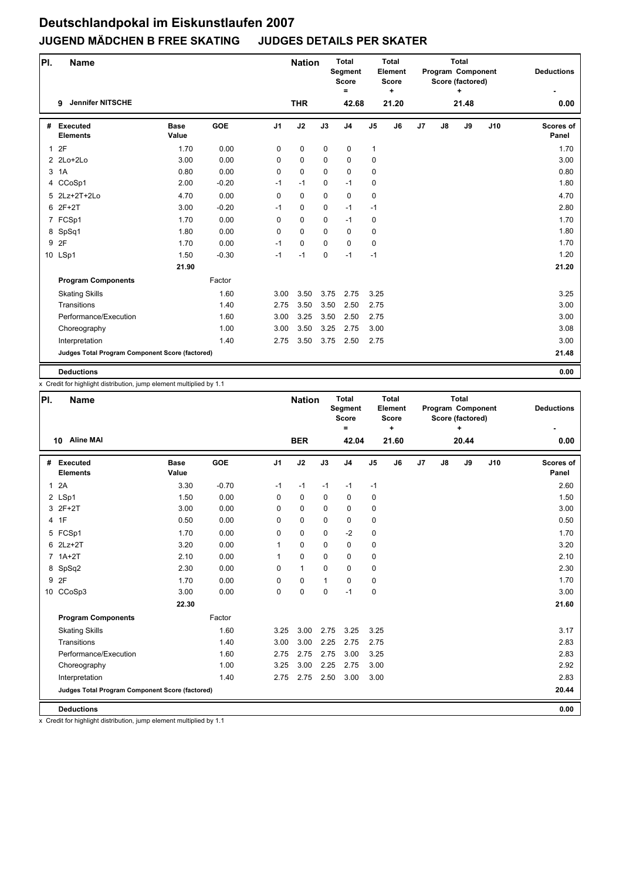| PI.          | <b>Name</b>                                     |                      |            |                | <b>Nation</b> |             | <b>Total</b><br>Segment<br><b>Score</b><br>$\equiv$ |                | <b>Total</b><br>Element<br><b>Score</b><br>٠ |    |    | Total<br>Program Component<br>Score (factored)<br>٠ |     | <b>Deductions</b>         |
|--------------|-------------------------------------------------|----------------------|------------|----------------|---------------|-------------|-----------------------------------------------------|----------------|----------------------------------------------|----|----|-----------------------------------------------------|-----|---------------------------|
|              | <b>Jennifer NITSCHE</b><br>9                    |                      |            |                | <b>THR</b>    |             | 42.68                                               |                | 21.20                                        |    |    | 21.48                                               |     | 0.00                      |
| #            | <b>Executed</b><br><b>Elements</b>              | <b>Base</b><br>Value | <b>GOE</b> | J <sub>1</sub> | J2            | J3          | J <sub>4</sub>                                      | J <sub>5</sub> | J <sub>6</sub>                               | J7 | J8 | J9                                                  | J10 | <b>Scores of</b><br>Panel |
| $\mathbf{1}$ | 2F                                              | 1.70                 | 0.00       | 0              | $\pmb{0}$     | 0           | 0                                                   | 1              |                                              |    |    |                                                     |     | 1.70                      |
|              | 2 2Lo+2Lo                                       | 3.00                 | 0.00       | 0              | $\mathbf 0$   | $\mathbf 0$ | $\mathbf 0$                                         | 0              |                                              |    |    |                                                     |     | 3.00                      |
|              | 3 1A                                            | 0.80                 | 0.00       | 0              | $\mathbf 0$   | $\Omega$    | $\mathbf 0$                                         | 0              |                                              |    |    |                                                     |     | 0.80                      |
|              | 4 CCoSp1                                        | 2.00                 | $-0.20$    | $-1$           | $-1$          | $\mathbf 0$ | $-1$                                                | 0              |                                              |    |    |                                                     |     | 1.80                      |
|              | 5 2Lz+2T+2Lo                                    | 4.70                 | 0.00       | $\mathbf 0$    | 0             | $\mathbf 0$ | $\mathbf 0$                                         | 0              |                                              |    |    |                                                     |     | 4.70                      |
|              | 6 2F+2T                                         | 3.00                 | $-0.20$    | $-1$           | 0             | $\mathbf 0$ | $-1$                                                | $-1$           |                                              |    |    |                                                     |     | 2.80                      |
|              | 7 FCSp1                                         | 1.70                 | 0.00       | 0              | 0             | $\Omega$    | $-1$                                                | 0              |                                              |    |    |                                                     |     | 1.70                      |
|              | 8 SpSq1                                         | 1.80                 | 0.00       | 0              | $\mathbf 0$   | $\mathbf 0$ | $\mathbf 0$                                         | 0              |                                              |    |    |                                                     |     | 1.80                      |
|              | 9 2F                                            | 1.70                 | 0.00       | $-1$           | $\mathbf 0$   | $\mathbf 0$ | $\mathbf 0$                                         | 0              |                                              |    |    |                                                     |     | 1.70                      |
|              | 10 LSp1                                         | 1.50                 | $-0.30$    | $-1$           | $-1$          | $\mathbf 0$ | $-1$                                                | $-1$           |                                              |    |    |                                                     |     | 1.20                      |
|              |                                                 | 21.90                |            |                |               |             |                                                     |                |                                              |    |    |                                                     |     | 21.20                     |
|              | <b>Program Components</b>                       |                      | Factor     |                |               |             |                                                     |                |                                              |    |    |                                                     |     |                           |
|              | <b>Skating Skills</b>                           |                      | 1.60       | 3.00           | 3.50          | 3.75        | 2.75                                                | 3.25           |                                              |    |    |                                                     |     | 3.25                      |
|              | Transitions                                     |                      | 1.40       | 2.75           | 3.50          | 3.50        | 2.50                                                | 2.75           |                                              |    |    |                                                     |     | 3.00                      |
|              | Performance/Execution                           |                      | 1.60       | 3.00           | 3.25          | 3.50        | 2.50                                                | 2.75           |                                              |    |    |                                                     |     | 3.00                      |
|              | Choreography                                    |                      | 1.00       | 3.00           | 3.50          | 3.25        | 2.75                                                | 3.00           |                                              |    |    |                                                     |     | 3.08                      |
|              | Interpretation                                  |                      | 1.40       | 2.75           | 3.50          | 3.75        | 2.50                                                | 2.75           |                                              |    |    |                                                     |     | 3.00                      |
|              | Judges Total Program Component Score (factored) |                      |            |                |               |             |                                                     |                |                                              |    |    |                                                     |     | 21.48                     |
|              | <b>Deductions</b>                               |                      |            |                |               |             |                                                     |                |                                              |    |    |                                                     |     | 0.00                      |

x Credit for highlight distribution, jump element multiplied by 1.1

| PI.          | <b>Name</b>                                     |                      |         |                | <b>Nation</b> |              | <b>Total</b><br>Segment<br><b>Score</b><br>$\equiv$ |                | <b>Total</b><br>Element<br><b>Score</b><br>÷ |    |    | <b>Total</b><br>Program Component<br>Score (factored)<br>٠ |     | <b>Deductions</b>         |
|--------------|-------------------------------------------------|----------------------|---------|----------------|---------------|--------------|-----------------------------------------------------|----------------|----------------------------------------------|----|----|------------------------------------------------------------|-----|---------------------------|
|              | <b>Aline MAI</b><br>10                          |                      |         |                | <b>BER</b>    |              | 42.04                                               |                | 21.60                                        |    |    | 20.44                                                      |     | 0.00                      |
| #            | <b>Executed</b><br><b>Elements</b>              | <b>Base</b><br>Value | GOE     | J <sub>1</sub> | J2            | J3           | J <sub>4</sub>                                      | J <sub>5</sub> | J6                                           | J7 | J8 | J9                                                         | J10 | <b>Scores of</b><br>Panel |
| $\mathbf{1}$ | 2A                                              | 3.30                 | $-0.70$ | $-1$           | $-1$          | $-1$         | $-1$                                                | $-1$           |                                              |    |    |                                                            |     | 2.60                      |
|              | 2 LSp1                                          | 1.50                 | 0.00    | 0              | 0             | $\Omega$     | $\mathbf 0$                                         | 0              |                                              |    |    |                                                            |     | 1.50                      |
|              | 3 2F+2T                                         | 3.00                 | 0.00    | 0              | 0             | $\Omega$     | $\Omega$                                            | 0              |                                              |    |    |                                                            |     | 3.00                      |
|              | 4 1F                                            | 0.50                 | 0.00    | 0              | 0             | $\mathbf 0$  | $\mathbf 0$                                         | 0              |                                              |    |    |                                                            |     | 0.50                      |
|              | 5 FCSp1                                         | 1.70                 | 0.00    | 0              | 0             | $\Omega$     | $-2$                                                | 0              |                                              |    |    |                                                            |     | 1.70                      |
|              | 6 2Lz+2T                                        | 3.20                 | 0.00    |                | 0             | $\Omega$     | $\mathbf 0$                                         | 0              |                                              |    |    |                                                            |     | 3.20                      |
|              | $7.1A+2T$                                       | 2.10                 | 0.00    | 1              | $\Omega$      | $\Omega$     | $\Omega$                                            | 0              |                                              |    |    |                                                            |     | 2.10                      |
|              | 8 SpSq2                                         | 2.30                 | 0.00    | 0              | $\mathbf{1}$  | $\Omega$     | $\Omega$                                            | 0              |                                              |    |    |                                                            |     | 2.30                      |
| 9            | 2F                                              | 1.70                 | 0.00    | 0              | 0             | $\mathbf{1}$ | $\mathbf 0$                                         | 0              |                                              |    |    |                                                            |     | 1.70                      |
|              | 10 CCoSp3                                       | 3.00                 | 0.00    | 0              | 0             | $\mathbf 0$  | $-1$                                                | 0              |                                              |    |    |                                                            |     | 3.00                      |
|              |                                                 | 22.30                |         |                |               |              |                                                     |                |                                              |    |    |                                                            |     | 21.60                     |
|              | <b>Program Components</b>                       |                      | Factor  |                |               |              |                                                     |                |                                              |    |    |                                                            |     |                           |
|              | <b>Skating Skills</b>                           |                      | 1.60    | 3.25           | 3.00          | 2.75         | 3.25                                                | 3.25           |                                              |    |    |                                                            |     | 3.17                      |
|              | Transitions                                     |                      | 1.40    | 3.00           | 3.00          | 2.25         | 2.75                                                | 2.75           |                                              |    |    |                                                            |     | 2.83                      |
|              | Performance/Execution                           |                      | 1.60    | 2.75           | 2.75          | 2.75         | 3.00                                                | 3.25           |                                              |    |    |                                                            |     | 2.83                      |
|              | Choreography                                    |                      | 1.00    | 3.25           | 3.00          | 2.25         | 2.75                                                | 3.00           |                                              |    |    |                                                            |     | 2.92                      |
|              | Interpretation                                  |                      | 1.40    | 2.75           | 2.75          | 2.50         | 3.00                                                | 3.00           |                                              |    |    |                                                            |     | 2.83                      |
|              | Judges Total Program Component Score (factored) |                      |         |                |               |              |                                                     |                |                                              |    |    |                                                            |     | 20.44                     |
|              | <b>Deductions</b>                               |                      |         |                |               |              |                                                     |                |                                              |    |    |                                                            |     | 0.00                      |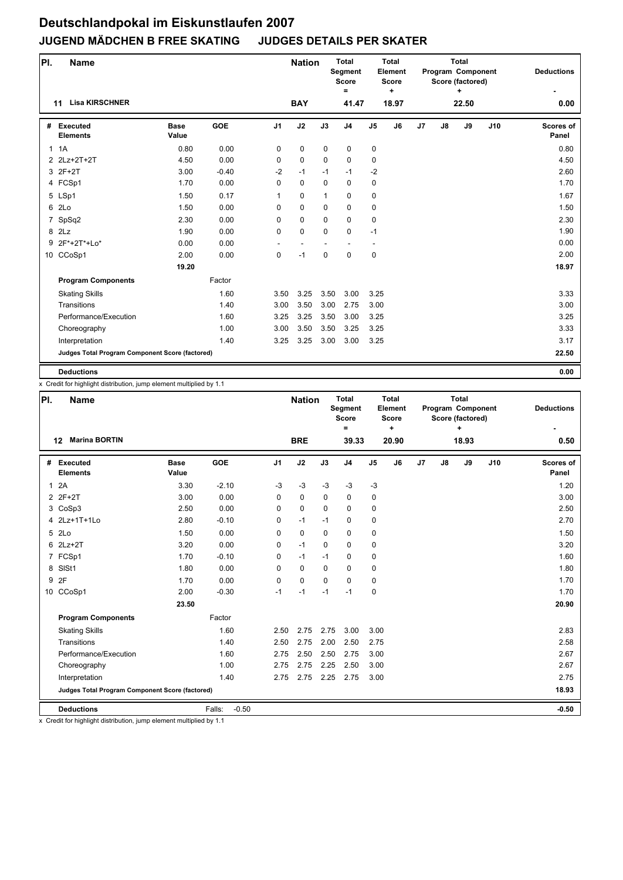| PI.            | <b>Name</b>                                     |                      |            |                | <b>Nation</b> |              | <b>Total</b><br>Segment<br><b>Score</b><br>$\equiv$ |                | Total<br>Element<br><b>Score</b><br>÷ |    |               | <b>Total</b><br>Program Component<br>Score (factored)<br>÷ |     | <b>Deductions</b>  |
|----------------|-------------------------------------------------|----------------------|------------|----------------|---------------|--------------|-----------------------------------------------------|----------------|---------------------------------------|----|---------------|------------------------------------------------------------|-----|--------------------|
|                | <b>Lisa KIRSCHNER</b><br>11                     |                      |            |                | <b>BAY</b>    |              | 41.47                                               |                | 18.97                                 |    |               | 22.50                                                      |     | 0.00               |
| #              | <b>Executed</b><br><b>Elements</b>              | <b>Base</b><br>Value | <b>GOE</b> | J <sub>1</sub> | J2            | J3           | J <sub>4</sub>                                      | J <sub>5</sub> | J6                                    | J7 | $\mathsf{J}8$ | J9                                                         | J10 | Scores of<br>Panel |
|                | 1.1A                                            | 0.80                 | 0.00       | 0              | 0             | $\mathbf 0$  | $\mathbf 0$                                         | 0              |                                       |    |               |                                                            |     | 0.80               |
|                | 2 2Lz+2T+2T                                     | 4.50                 | 0.00       | 0              | 0             | $\mathbf 0$  | $\mathbf 0$                                         | 0              |                                       |    |               |                                                            |     | 4.50               |
|                | 3 2F+2T                                         | 3.00                 | $-0.40$    | $-2$           | $-1$          | $-1$         | $-1$                                                | $-2$           |                                       |    |               |                                                            |     | 2.60               |
|                | 4 FCSp1                                         | 1.70                 | 0.00       | 0              | 0             | $\mathbf 0$  | 0                                                   | 0              |                                       |    |               |                                                            |     | 1.70               |
|                | 5 LSp1                                          | 1.50                 | 0.17       | $\mathbf{1}$   | 0             | $\mathbf{1}$ | $\mathbf 0$                                         | 0              |                                       |    |               |                                                            |     | 1.67               |
|                | 6 2Lo                                           | 1.50                 | 0.00       | 0              | $\Omega$      | 0            | $\mathbf 0$                                         | 0              |                                       |    |               |                                                            |     | 1.50               |
| $\overline{7}$ | SpSq2                                           | 2.30                 | 0.00       | 0              | 0             | $\Omega$     | $\mathbf 0$                                         | 0              |                                       |    |               |                                                            |     | 2.30               |
|                | 8 2Lz                                           | 1.90                 | 0.00       | 0              | 0             | 0            | $\mathbf 0$                                         | $-1$           |                                       |    |               |                                                            |     | 1.90               |
|                | 9 2F*+2T*+Lo*                                   | 0.00                 | 0.00       |                |               |              |                                                     |                |                                       |    |               |                                                            |     | 0.00               |
|                | 10 CCoSp1                                       | 2.00                 | 0.00       | 0              | $-1$          | $\mathbf 0$  | $\mathbf 0$                                         | 0              |                                       |    |               |                                                            |     | 2.00               |
|                |                                                 | 19.20                |            |                |               |              |                                                     |                |                                       |    |               |                                                            |     | 18.97              |
|                | <b>Program Components</b>                       |                      | Factor     |                |               |              |                                                     |                |                                       |    |               |                                                            |     |                    |
|                | <b>Skating Skills</b>                           |                      | 1.60       | 3.50           | 3.25          | 3.50         | 3.00                                                | 3.25           |                                       |    |               |                                                            |     | 3.33               |
|                | Transitions                                     |                      | 1.40       | 3.00           | 3.50          | 3.00         | 2.75                                                | 3.00           |                                       |    |               |                                                            |     | 3.00               |
|                | Performance/Execution                           |                      | 1.60       | 3.25           | 3.25          | 3.50         | 3.00                                                | 3.25           |                                       |    |               |                                                            |     | 3.25               |
|                | Choreography                                    |                      | 1.00       | 3.00           | 3.50          | 3.50         | 3.25                                                | 3.25           |                                       |    |               |                                                            |     | 3.33               |
|                | Interpretation                                  |                      | 1.40       | 3.25           | 3.25          | 3.00         | 3.00                                                | 3.25           |                                       |    |               |                                                            |     | 3.17               |
|                | Judges Total Program Component Score (factored) |                      |            |                |               |              |                                                     |                |                                       |    |               |                                                            |     | 22.50              |
|                | <b>Deductions</b>                               |                      |            |                |               |              |                                                     |                |                                       |    |               |                                                            |     | 0.00               |

x Credit for highlight distribution, jump element multiplied by 1.1

| PI.          | <b>Name</b>                                     |                      |                   |                | <b>Nation</b> |             | <b>Total</b><br>Segment<br><b>Score</b><br>$\equiv$ |                | Total<br>Element<br>Score<br>÷ |    |    | <b>Total</b><br>Program Component<br>Score (factored)<br>÷ |     | <b>Deductions</b>  |
|--------------|-------------------------------------------------|----------------------|-------------------|----------------|---------------|-------------|-----------------------------------------------------|----------------|--------------------------------|----|----|------------------------------------------------------------|-----|--------------------|
|              | <b>Marina BORTIN</b><br>12                      |                      |                   |                | <b>BRE</b>    |             | 39.33                                               |                | 20.90                          |    |    | 18.93                                                      |     | 0.50               |
| #            | Executed<br><b>Elements</b>                     | <b>Base</b><br>Value | <b>GOE</b>        | J <sub>1</sub> | J2            | J3          | J <sub>4</sub>                                      | J <sub>5</sub> | J6                             | J7 | J8 | J9                                                         | J10 | Scores of<br>Panel |
| $\mathbf{1}$ | 2A                                              | 3.30                 | $-2.10$           | $-3$           | $-3$          | $-3$        | $-3$                                                | $-3$           |                                |    |    |                                                            |     | 1.20               |
|              | 2 2F+2T                                         | 3.00                 | 0.00              | $\mathbf 0$    | 0             | $\mathbf 0$ | 0                                                   | 0              |                                |    |    |                                                            |     | 3.00               |
|              | 3 CoSp3                                         | 2.50                 | 0.00              | 0              | $\mathbf 0$   | $\mathbf 0$ | $\mathbf 0$                                         | 0              |                                |    |    |                                                            |     | 2.50               |
|              | 4 2Lz+1T+1Lo                                    | 2.80                 | $-0.10$           | 0              | $-1$          | $-1$        | $\mathbf 0$                                         | 0              |                                |    |    |                                                            |     | 2.70               |
| 5            | 2Lo                                             | 1.50                 | 0.00              | $\Omega$       | $\mathbf 0$   | $\Omega$    | $\mathbf 0$                                         | 0              |                                |    |    |                                                            |     | 1.50               |
|              | 6 2Lz+2T                                        | 3.20                 | 0.00              | 0              | $-1$          | $\Omega$    | $\Omega$                                            | 0              |                                |    |    |                                                            |     | 3.20               |
|              | 7 FCSp1                                         | 1.70                 | $-0.10$           | 0              | $-1$          | $-1$        | $\mathbf 0$                                         | 0              |                                |    |    |                                                            |     | 1.60               |
| 8            | SISt1                                           | 1.80                 | 0.00              | $\Omega$       | $\Omega$      | $\Omega$    | $\mathbf 0$                                         | 0              |                                |    |    |                                                            |     | 1.80               |
| 9            | 2F                                              | 1.70                 | 0.00              | $\Omega$       | 0             | $\Omega$    | $\Omega$                                            | 0              |                                |    |    |                                                            |     | 1.70               |
|              | 10 CCoSp1                                       | 2.00                 | $-0.30$           | $-1$           | $-1$          | $-1$        | $-1$                                                | 0              |                                |    |    |                                                            |     | 1.70               |
|              |                                                 | 23.50                |                   |                |               |             |                                                     |                |                                |    |    |                                                            |     | 20.90              |
|              | <b>Program Components</b>                       |                      | Factor            |                |               |             |                                                     |                |                                |    |    |                                                            |     |                    |
|              | <b>Skating Skills</b>                           |                      | 1.60              | 2.50           | 2.75          | 2.75        | 3.00                                                | 3.00           |                                |    |    |                                                            |     | 2.83               |
|              | Transitions                                     |                      | 1.40              | 2.50           | 2.75          | 2.00        | 2.50                                                | 2.75           |                                |    |    |                                                            |     | 2.58               |
|              | Performance/Execution                           |                      | 1.60              | 2.75           | 2.50          | 2.50        | 2.75                                                | 3.00           |                                |    |    |                                                            |     | 2.67               |
|              | Choreography                                    |                      | 1.00              | 2.75           | 2.75          | 2.25        | 2.50                                                | 3.00           |                                |    |    |                                                            |     | 2.67               |
|              | Interpretation                                  |                      | 1.40              | 2.75           | 2.75          | 2.25        | 2.75                                                | 3.00           |                                |    |    |                                                            |     | 2.75               |
|              | Judges Total Program Component Score (factored) |                      |                   |                |               |             |                                                     |                |                                |    |    |                                                            |     | 18.93              |
|              | <b>Deductions</b>                               |                      | $-0.50$<br>Falls: |                |               |             |                                                     |                |                                |    |    |                                                            |     | $-0.50$            |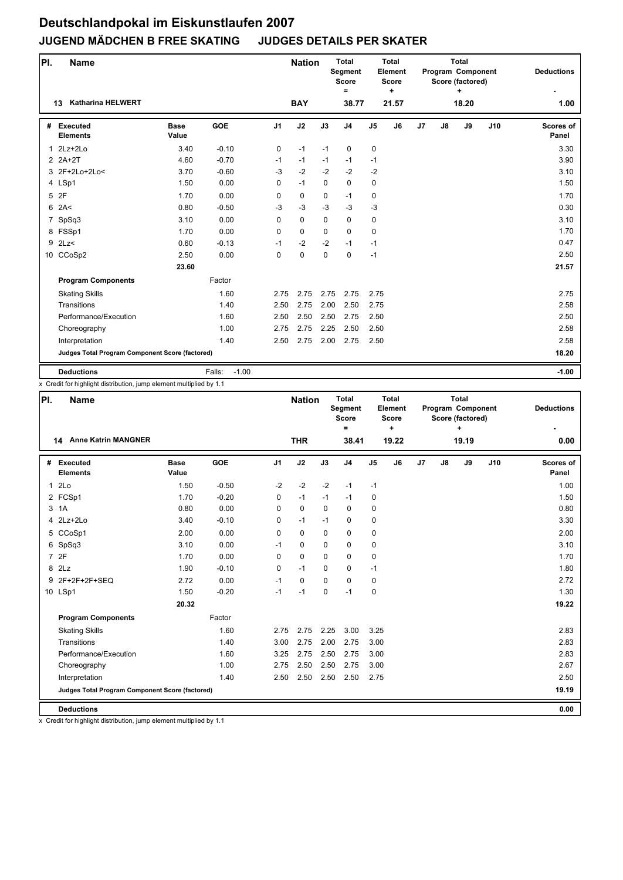| PI.            | <b>Name</b>                                     |                      |                   |                | <b>Nation</b> |          | <b>Total</b><br>Segment<br><b>Score</b><br>$\equiv$ |                | <b>Total</b><br>Element<br><b>Score</b><br>٠ |    |               | <b>Total</b><br>Program Component<br>Score (factored)<br>÷ |     | <b>Deductions</b>         |
|----------------|-------------------------------------------------|----------------------|-------------------|----------------|---------------|----------|-----------------------------------------------------|----------------|----------------------------------------------|----|---------------|------------------------------------------------------------|-----|---------------------------|
|                | <b>Katharina HELWERT</b><br>13                  |                      |                   |                | <b>BAY</b>    |          | 38.77                                               |                | 21.57                                        |    |               | 18.20                                                      |     | 1.00                      |
| #              | <b>Executed</b><br><b>Elements</b>              | <b>Base</b><br>Value | <b>GOE</b>        | J <sub>1</sub> | J2            | J3       | J <sub>4</sub>                                      | J <sub>5</sub> | J6                                           | J7 | $\mathsf{J}8$ | J9                                                         | J10 | <b>Scores of</b><br>Panel |
|                | $1$ $2Lz+2Lo$                                   | 3.40                 | $-0.10$           | 0              | $-1$          | $-1$     | $\mathbf 0$                                         | 0              |                                              |    |               |                                                            |     | 3.30                      |
|                | $2$ $2A+2T$                                     | 4.60                 | $-0.70$           | $-1$           | $-1$          | $-1$     | $-1$                                                | $-1$           |                                              |    |               |                                                            |     | 3.90                      |
|                | 3 2F+2Lo+2Lo<                                   | 3.70                 | $-0.60$           | $-3$           | $-2$          | $-2$     | $-2$                                                | $-2$           |                                              |    |               |                                                            |     | 3.10                      |
|                | 4 LSp1                                          | 1.50                 | 0.00              | $\Omega$       | $-1$          | $\Omega$ | $\Omega$                                            | 0              |                                              |    |               |                                                            |     | 1.50                      |
|                | 5 2F                                            | 1.70                 | 0.00              | 0              | 0             | 0        | $-1$                                                | 0              |                                              |    |               |                                                            |     | 1.70                      |
| 6              | 2A<                                             | 0.80                 | $-0.50$           | $-3$           | $-3$          | $-3$     | $-3$                                                | $-3$           |                                              |    |               |                                                            |     | 0.30                      |
| $\overline{7}$ | SpSq3                                           | 3.10                 | 0.00              | 0              | 0             | 0        | $\mathbf 0$                                         | 0              |                                              |    |               |                                                            |     | 3.10                      |
|                | 8 FSSp1                                         | 1.70                 | 0.00              | $\Omega$       | $\Omega$      | $\Omega$ | $\Omega$                                            | 0              |                                              |    |               |                                                            |     | 1.70                      |
|                | $9$ 2Lz<                                        | 0.60                 | $-0.13$           | $-1$           | $-2$          | $-2$     | $-1$                                                | $-1$           |                                              |    |               |                                                            |     | 0.47                      |
|                | 10 CCoSp2                                       | 2.50                 | 0.00              | 0              | 0             | 0        | $\mathbf 0$                                         | $-1$           |                                              |    |               |                                                            |     | 2.50                      |
|                |                                                 | 23.60                |                   |                |               |          |                                                     |                |                                              |    |               |                                                            |     | 21.57                     |
|                | <b>Program Components</b>                       |                      | Factor            |                |               |          |                                                     |                |                                              |    |               |                                                            |     |                           |
|                | <b>Skating Skills</b>                           |                      | 1.60              | 2.75           | 2.75          | 2.75     | 2.75                                                | 2.75           |                                              |    |               |                                                            |     | 2.75                      |
|                | Transitions                                     |                      | 1.40              | 2.50           | 2.75          | 2.00     | 2.50                                                | 2.75           |                                              |    |               |                                                            |     | 2.58                      |
|                | Performance/Execution                           |                      | 1.60              | 2.50           | 2.50          | 2.50     | 2.75                                                | 2.50           |                                              |    |               |                                                            |     | 2.50                      |
|                | Choreography                                    |                      | 1.00              | 2.75           | 2.75          | 2.25     | 2.50                                                | 2.50           |                                              |    |               |                                                            |     | 2.58                      |
|                | Interpretation                                  |                      | 1.40              | 2.50           | 2.75          | 2.00     | 2.75                                                | 2.50           |                                              |    |               |                                                            |     | 2.58                      |
|                | Judges Total Program Component Score (factored) |                      |                   |                |               |          |                                                     |                |                                              |    |               |                                                            |     | 18.20                     |
|                | <b>Deductions</b>                               |                      | $-1.00$<br>Falls: |                |               |          |                                                     |                |                                              |    |               |                                                            |     | $-1.00$                   |

x Credit for highlight distribution, jump element multiplied by 1.1

| PI.<br><b>Name</b> |                                                 |                      |            |                | <b>Nation</b> |             | <b>Total</b><br>Segment<br><b>Score</b><br>$\equiv$ |                | Total<br>Element<br><b>Score</b><br>÷ |    |               | <b>Total</b><br>Program Component<br>Score (factored)<br>٠ | <b>Deductions</b> |                           |
|--------------------|-------------------------------------------------|----------------------|------------|----------------|---------------|-------------|-----------------------------------------------------|----------------|---------------------------------------|----|---------------|------------------------------------------------------------|-------------------|---------------------------|
|                    | <b>Anne Katrin MANGNER</b><br>14                |                      |            |                | <b>THR</b>    |             | 38.41                                               |                | 19.22                                 |    |               | 19.19                                                      |                   | 0.00                      |
| #                  | <b>Executed</b><br><b>Elements</b>              | <b>Base</b><br>Value | <b>GOE</b> | J <sub>1</sub> | J2            | J3          | J <sub>4</sub>                                      | J <sub>5</sub> | J6                                    | J7 | $\mathsf{J}8$ | J9                                                         | J10               | <b>Scores of</b><br>Panel |
| $\mathbf{1}$       | 2Lo                                             | 1.50                 | $-0.50$    | $-2$           | $-2$          | $-2$        | $-1$                                                | $-1$           |                                       |    |               |                                                            |                   | 1.00                      |
|                    | 2 FCSp1                                         | 1.70                 | $-0.20$    | 0              | $-1$          | $-1$        | $-1$                                                | 0              |                                       |    |               |                                                            |                   | 1.50                      |
|                    | 3 1A                                            | 0.80                 | 0.00       | $\Omega$       | 0             | $\Omega$    | $\Omega$                                            | 0              |                                       |    |               |                                                            |                   | 0.80                      |
|                    | 4 2Lz+2Lo                                       | 3.40                 | $-0.10$    | 0              | $-1$          | $-1$        | $\mathbf 0$                                         | 0              |                                       |    |               |                                                            |                   | 3.30                      |
|                    | 5 CCoSp1                                        | 2.00                 | 0.00       | 0              | $\mathbf 0$   | $\mathbf 0$ | $\mathbf 0$                                         | 0              |                                       |    |               |                                                            |                   | 2.00                      |
|                    | 6 SpSq3                                         | 3.10                 | 0.00       | $-1$           | 0             | $\Omega$    | $\mathbf 0$                                         | 0              |                                       |    |               |                                                            |                   | 3.10                      |
|                    | 7 2F                                            | 1.70                 | 0.00       | $\mathbf 0$    | $\mathbf 0$   | $\Omega$    | $\mathbf 0$                                         | 0              |                                       |    |               |                                                            |                   | 1.70                      |
|                    | 8 2Lz                                           | 1.90                 | $-0.10$    | 0              | $-1$          | $\mathbf 0$ | $\mathbf 0$                                         | $-1$           |                                       |    |               |                                                            |                   | 1.80                      |
|                    | 9 2F+2F+2F+SEQ                                  | 2.72                 | 0.00       | $-1$           | $\mathbf 0$   | $\Omega$    | $\mathbf 0$                                         | 0              |                                       |    |               |                                                            |                   | 2.72                      |
|                    | 10 LSp1                                         | 1.50                 | $-0.20$    | $-1$           | $-1$          | $\Omega$    | $-1$                                                | 0              |                                       |    |               |                                                            |                   | 1.30                      |
|                    |                                                 | 20.32                |            |                |               |             |                                                     |                |                                       |    |               |                                                            |                   | 19.22                     |
|                    | <b>Program Components</b>                       |                      | Factor     |                |               |             |                                                     |                |                                       |    |               |                                                            |                   |                           |
|                    | <b>Skating Skills</b>                           |                      | 1.60       | 2.75           | 2.75          | 2.25        | 3.00                                                | 3.25           |                                       |    |               |                                                            |                   | 2.83                      |
|                    | Transitions                                     |                      | 1.40       | 3.00           | 2.75          | 2.00        | 2.75                                                | 3.00           |                                       |    |               |                                                            |                   | 2.83                      |
|                    | Performance/Execution                           |                      | 1.60       | 3.25           | 2.75          | 2.50        | 2.75                                                | 3.00           |                                       |    |               |                                                            |                   | 2.83                      |
|                    | Choreography                                    |                      | 1.00       | 2.75           | 2.50          | 2.50        | 2.75                                                | 3.00           |                                       |    |               |                                                            |                   | 2.67                      |
|                    | Interpretation                                  |                      | 1.40       | 2.50           | 2.50          | 2.50        | 2.50                                                | 2.75           |                                       |    |               |                                                            |                   | 2.50                      |
|                    | Judges Total Program Component Score (factored) |                      |            |                |               |             |                                                     |                |                                       |    |               |                                                            |                   | 19.19                     |
|                    | <b>Deductions</b>                               |                      |            |                |               |             |                                                     |                |                                       |    |               |                                                            |                   | 0.00                      |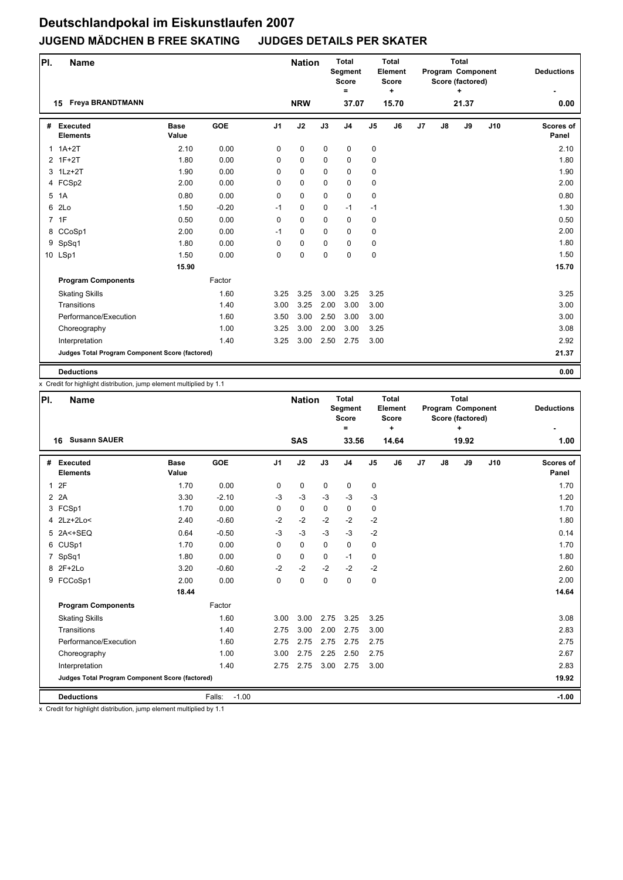| PI. | <b>Name</b>                                     |                      |            |                | <b>Nation</b> |             | <b>Total</b><br>Segment<br><b>Score</b><br>$\equiv$ |                | Total<br>Element<br>Score<br>÷ |    |    | <b>Total</b><br>Program Component<br>Score (factored)<br>÷ |     | <b>Deductions</b>         |
|-----|-------------------------------------------------|----------------------|------------|----------------|---------------|-------------|-----------------------------------------------------|----------------|--------------------------------|----|----|------------------------------------------------------------|-----|---------------------------|
|     | <b>Freya BRANDTMANN</b><br>15                   |                      |            |                | <b>NRW</b>    |             | 37.07                                               |                | 15.70                          |    |    | 21.37                                                      |     | 0.00                      |
| #   | <b>Executed</b><br><b>Elements</b>              | <b>Base</b><br>Value | <b>GOE</b> | J <sub>1</sub> | J2            | J3          | J <sub>4</sub>                                      | J <sub>5</sub> | J <sub>6</sub>                 | J7 | J8 | J9                                                         | J10 | <b>Scores of</b><br>Panel |
|     | $1.1A+2T$                                       | 2.10                 | 0.00       | 0              | 0             | $\mathbf 0$ | $\pmb{0}$                                           | 0              |                                |    |    |                                                            |     | 2.10                      |
|     | 2 1F+2T                                         | 1.80                 | 0.00       | 0              | 0             | $\mathbf 0$ | $\mathbf 0$                                         | 0              |                                |    |    |                                                            |     | 1.80                      |
|     | 3 1Lz+2T                                        | 1.90                 | 0.00       | 0              | 0             | 0           | $\mathbf 0$                                         | 0              |                                |    |    |                                                            |     | 1.90                      |
|     | 4 FCSp2                                         | 2.00                 | 0.00       | 0              | 0             | 0           | 0                                                   | 0              |                                |    |    |                                                            |     | 2.00                      |
| 5   | 1A                                              | 0.80                 | 0.00       | 0              | 0             | $\mathbf 0$ | $\mathbf 0$                                         | 0              |                                |    |    |                                                            |     | 0.80                      |
| 6   | 2Lo                                             | 1.50                 | $-0.20$    | $-1$           | 0             | $\Omega$    | $-1$                                                | $-1$           |                                |    |    |                                                            |     | 1.30                      |
|     | 7 1F                                            | 0.50                 | 0.00       | $\mathbf 0$    | $\Omega$      | $\Omega$    | $\mathbf 0$                                         | 0              |                                |    |    |                                                            |     | 0.50                      |
|     | 8 CCoSp1                                        | 2.00                 | 0.00       | $-1$           | 0             | 0           | $\mathbf 0$                                         | 0              |                                |    |    |                                                            |     | 2.00                      |
| 9   | SpSq1                                           | 1.80                 | 0.00       | 0              | 0             | 0           | $\mathbf 0$                                         | 0              |                                |    |    |                                                            |     | 1.80                      |
|     | 10 LSp1                                         | 1.50                 | 0.00       | 0              | 0             | 0           | $\mathbf 0$                                         | 0              |                                |    |    |                                                            |     | 1.50                      |
|     |                                                 | 15.90                |            |                |               |             |                                                     |                |                                |    |    |                                                            |     | 15.70                     |
|     | <b>Program Components</b>                       |                      | Factor     |                |               |             |                                                     |                |                                |    |    |                                                            |     |                           |
|     | <b>Skating Skills</b>                           |                      | 1.60       | 3.25           | 3.25          | 3.00        | 3.25                                                | 3.25           |                                |    |    |                                                            |     | 3.25                      |
|     | Transitions                                     |                      | 1.40       | 3.00           | 3.25          | 2.00        | 3.00                                                | 3.00           |                                |    |    |                                                            |     | 3.00                      |
|     | Performance/Execution                           |                      | 1.60       | 3.50           | 3.00          | 2.50        | 3.00                                                | 3.00           |                                |    |    |                                                            |     | 3.00                      |
|     | Choreography                                    |                      | 1.00       | 3.25           | 3.00          | 2.00        | 3.00                                                | 3.25           |                                |    |    |                                                            |     | 3.08                      |
|     | Interpretation                                  |                      | 1.40       | 3.25           | 3.00          | 2.50        | 2.75                                                | 3.00           |                                |    |    |                                                            |     | 2.92                      |
|     | Judges Total Program Component Score (factored) |                      |            |                |               |             |                                                     |                |                                |    |    |                                                            |     | 21.37                     |
|     | <b>Deductions</b>                               |                      |            |                |               |             |                                                     |                |                                |    |    |                                                            |     | 0.00                      |

x Credit for highlight distribution, jump element multiplied by 1.1

| PI.            | <b>Name</b>                                     |                      |                   |                | <b>Nation</b> |          | <b>Total</b><br>Segment<br><b>Score</b><br>$\equiv$ |                | <b>Total</b><br>Element<br>Score<br>٠ |                |    | <b>Total</b><br>Program Component<br>Score (factored)<br>۰ |     | <b>Deductions</b>         |
|----------------|-------------------------------------------------|----------------------|-------------------|----------------|---------------|----------|-----------------------------------------------------|----------------|---------------------------------------|----------------|----|------------------------------------------------------------|-----|---------------------------|
|                | <b>Susann SAUER</b><br>16                       |                      |                   |                | <b>SAS</b>    |          | 33.56                                               |                | 14.64                                 |                |    | 19.92                                                      |     | 1.00                      |
| #              | <b>Executed</b><br><b>Elements</b>              | <b>Base</b><br>Value | <b>GOE</b>        | J <sub>1</sub> | J2            | J3       | J <sub>4</sub>                                      | J <sub>5</sub> | J6                                    | J <sub>7</sub> | J8 | J9                                                         | J10 | <b>Scores of</b><br>Panel |
| $\mathbf{1}$   | 2F                                              | 1.70                 | 0.00              | $\mathbf 0$    | $\mathbf 0$   | 0        | 0                                                   | 0              |                                       |                |    |                                                            |     | 1.70                      |
| $\overline{2}$ | 2A                                              | 3.30                 | $-2.10$           | $-3$           | $-3$          | $-3$     | $-3$                                                | $-3$           |                                       |                |    |                                                            |     | 1.20                      |
|                | 3 FCSp1                                         | 1.70                 | 0.00              | $\mathbf 0$    | 0             | $\Omega$ | 0                                                   | 0              |                                       |                |    |                                                            |     | 1.70                      |
|                | 4 2Lz+2Lo<                                      | 2.40                 | $-0.60$           | $-2$           | $-2$          | $-2$     | $-2$                                                | $-2$           |                                       |                |    |                                                            |     | 1.80                      |
|                | 5 2A<+SEQ                                       | 0.64                 | $-0.50$           | $-3$           | $-3$          | $-3$     | $-3$                                                | $-2$           |                                       |                |    |                                                            |     | 0.14                      |
|                | 6 CUSp1                                         | 1.70                 | 0.00              | 0              | $\mathbf 0$   | 0        | 0                                                   | 0              |                                       |                |    |                                                            |     | 1.70                      |
| 7              | SpSq1                                           | 1.80                 | 0.00              | $\Omega$       | $\mathbf 0$   | $\Omega$ | $-1$                                                | 0              |                                       |                |    |                                                            |     | 1.80                      |
|                | 8 2F+2Lo                                        | 3.20                 | $-0.60$           | $-2$           | $-2$          | $-2$     | $-2$                                                | $-2$           |                                       |                |    |                                                            |     | 2.60                      |
|                | 9 FCCoSp1                                       | 2.00                 | 0.00              | $\Omega$       | $\pmb{0}$     | $\Omega$ | 0                                                   | 0              |                                       |                |    |                                                            |     | 2.00                      |
|                |                                                 | 18.44                |                   |                |               |          |                                                     |                |                                       |                |    |                                                            |     | 14.64                     |
|                | <b>Program Components</b>                       |                      | Factor            |                |               |          |                                                     |                |                                       |                |    |                                                            |     |                           |
|                | <b>Skating Skills</b>                           |                      | 1.60              | 3.00           | 3.00          | 2.75     | 3.25                                                | 3.25           |                                       |                |    |                                                            |     | 3.08                      |
|                | Transitions                                     |                      | 1.40              | 2.75           | 3.00          | 2.00     | 2.75                                                | 3.00           |                                       |                |    |                                                            |     | 2.83                      |
|                | Performance/Execution                           |                      | 1.60              | 2.75           | 2.75          | 2.75     | 2.75                                                | 2.75           |                                       |                |    |                                                            |     | 2.75                      |
|                | Choreography                                    |                      | 1.00              | 3.00           | 2.75          | 2.25     | 2.50                                                | 2.75           |                                       |                |    |                                                            |     | 2.67                      |
|                | Interpretation                                  |                      | 1.40              | 2.75           | 2.75          | 3.00     | 2.75                                                | 3.00           |                                       |                |    |                                                            |     | 2.83                      |
|                | Judges Total Program Component Score (factored) |                      |                   |                |               |          |                                                     |                |                                       |                |    |                                                            |     | 19.92                     |
|                | <b>Deductions</b>                               |                      | $-1.00$<br>Falls: |                |               |          |                                                     |                |                                       |                |    |                                                            |     | $-1.00$                   |